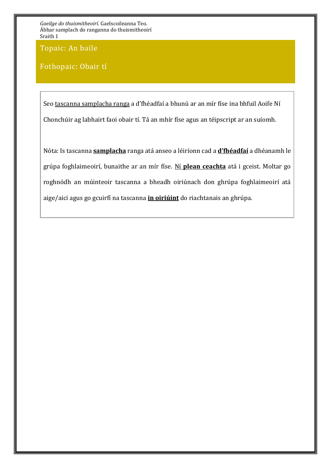Topaic: An baile

Fothopaic: Obair tí

Seo tascanna samplacha ranga a d'fhéadfaí a bhunú ar an mír físe ina bhfuil Aoife Ní Chonchúir ag labhairt faoi obair tí. Tá an mhír físe agus an téipscript ar an suíomh.

Nóta: Is tascanna **samplacha** ranga atá anseo a léiríonn cad a **d'fhéadfaí** a dhéanamh le grúpa foghlaimeoirí, bunaithe ar an mír físe. Ní **plean ceachta** atá i gceist. Moltar go roghnódh an múinteoir tascanna a bheadh oiriúnach don ghrúpa foghlaimeoirí atá aige/aici agus go gcuirfí na tascanna **in oiriúint** do riachtanais an ghrúpa.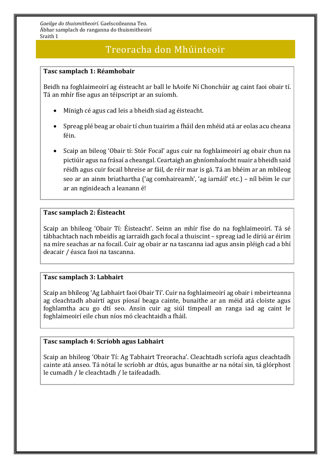## Treoracha don Mhúinteoir

#### **Tasc samplach 1: Réamhobair**

Beidh na foghlaimeoirí ag éisteacht ar ball le hAoife Ní Chonchúir ag caint faoi obair tí. Tá an mhír físe agus an téipscript ar an suíomh.

- Mínigh cé agus cad leis a bheidh siad ag éisteacht.
- Spreag plé beag ar obair tí chun tuairim a fháil den mhéid atá ar eolas acu cheana féin.
- Scaip an bileog 'Obair tí: Stór Focal' agus cuir na foghlaimeoirí ag obair chun na pictiúir agus na frásaí a cheangal. Ceartaigh an ghníomhaíocht nuair a bheidh said réidh agus cuir focail bhreise ar fáil, de réir mar is gá. Tá an bhéim ar an mbileog seo ar an ainm briathartha ('ag comhaireamh', 'ag iarnáil' etc.) – níl béim le cur ar an nginideach a leanann é!

#### **Tasc samplach 2: Éisteacht**

Scaip an bhileog 'Obair Tí: Éisteacht'. Seinn an mhír físe do na foghlaimeoirí. Tá sé tábhachtach nach mbeidís ag iarraidh gach focal a thuiscint – spreag iad le díriú ar éirim na míre seachas ar na focail. Cuir ag obair ar na tascanna iad agus ansin pléigh cad a bhí deacair / éasca faoi na tascanna.

#### **Tasc samplach 3: Labhairt**

Scaip an bhileog 'Ag Labhairt faoi Obair Tí'. Cuir na foghlaimeoirí ag obair i mbeirteanna ag cleachtadh abairtí agus píosaí beaga cainte, bunaithe ar an méid atá cloiste agus foghlamtha acu go dtí seo. Ansin cuir ag siúl timpeall an ranga iad ag caint le foghlaimeoirí eile chun níos mó cleachtaidh a fháil.

#### **Tasc samplach 4: Scríobh agus Labhairt**

Scaip an bhileog 'Obair Tí: Ag Tabhairt Treoracha'. Cleachtadh scríofa agus cleachtadh cainte atá anseo. Tá nótaí le scríobh ar dtús, agus bunaithe ar na nótaí sin, tá glórphost le cumadh / le cleachtadh / le taifeadadh.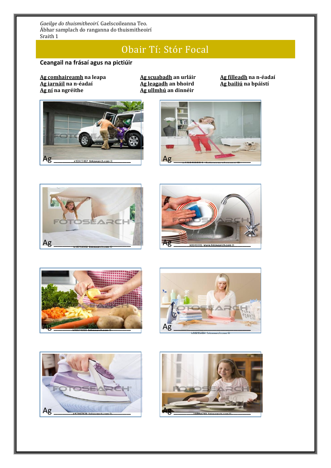## Obair Tí: Stór Focal

### **Ceangail na frásaí agus na pictiúir**

**Ag comhaireamh na leapa Ag scuabadh an urláir Ag filleadh na n-éadaí Ag iarnáil na n-éadaí<br><b>Ag ní** na ngréithe

**Ag ní na ngréithe Ag ullmhú an dinnéir**















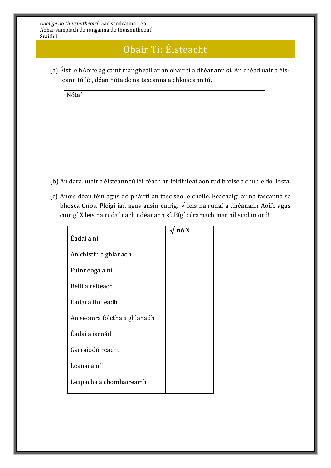# Obair Tí: Éisteacht

(a) Éist le hAoife ag caint mar gheall ar an obair tí a dhéanann sí. An chéad uair a éisteann tú léi, déan nóta de na tascanna a chloiseann tú.

Nótaí

- (b) An dara huair a éisteann tú léi, féach an féidir leat aon rud breise a chur le do liosta.
- (c) Anois déan féin agus do pháirtí an tasc seo le chéile. Féachaigí ar na tascanna sa bhosca thíos. Pléigí iad agus ansin cuirigí √ leis na rudaí a dhéanann Aoife agus cuirigí X leis na rudaí nach ndéanann sí. Bígí cúramach mar níl siad in ord!

|                              | nó X |
|------------------------------|------|
| Éadaí a ní                   |      |
| An chistin a ghlanadh        |      |
| Fuinneoga a ní               |      |
| Béilí a réiteach             |      |
| Éadaí a fhilleadh            |      |
| An seomra folctha a ghlanadh |      |
| Éadaí a iarnáil              |      |
| Garraíodóireacht             |      |
| Leanaí a ní!                 |      |
| Leapacha a chomhaireamh      |      |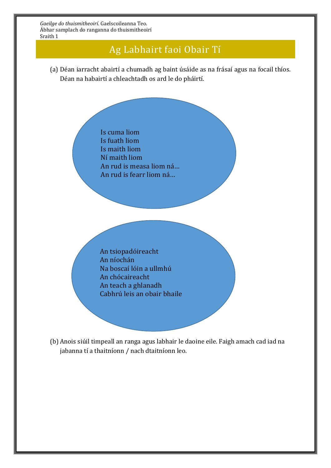## Ag Labhairt faoi Obair Tí

(a) Déan iarracht abairtí a chumadh ag baint úsáide as na frásaí agus na focail thíos. Déan na habairtí a chleachtadh os ard le do pháirtí.

> Is cuma liom Is fuath liom Is maith liom Ní maith liom An rud is measa liom ná… An rud is fearr liom ná…

An tsiopadóireacht An níochán Na boscaí lóin a ullmhú An chócaireacht An teach a ghlanadh Cabhrú leis an obair bhaile

(b) Anois siúil timpeall an ranga agus labhair le daoine eile. Faigh amach cad iad na jabanna tí a thaitníonn / nach dtaitníonn leo.